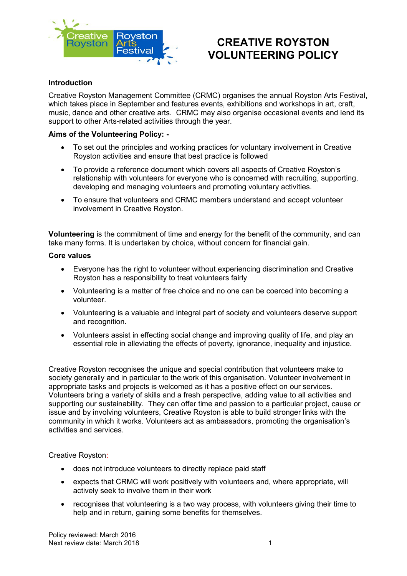

# **CREATIVE ROYSTON VOLUNTEERING POLICY**

# **Introduction**

Creative Royston Management Committee (CRMC) organises the annual Royston Arts Festival, which takes place in September and features events, exhibitions and workshops in art, craft, music, dance and other creative arts. CRMC may also organise occasional events and lend its support to other Arts-related activities through the year.

# **Aims of the Volunteering Policy: -**

- To set out the principles and working practices for voluntary involvement in Creative Royston activities and ensure that best practice is followed
- To provide a reference document which covers all aspects of Creative Royston's relationship with volunteers for everyone who is concerned with recruiting, supporting, developing and managing volunteers and promoting voluntary activities.
- To ensure that volunteers and CRMC members understand and accept volunteer involvement in Creative Royston.

**Volunteering** is the commitment of time and energy for the benefit of the community, and can take many forms. It is undertaken by choice, without concern for financial gain.

# **Core values**

- Everyone has the right to volunteer without experiencing discrimination and Creative Royston has a responsibility to treat volunteers fairly
- Volunteering is a matter of free choice and no one can be coerced into becoming a volunteer.
- Volunteering is a valuable and integral part of society and volunteers deserve support and recognition.
- Volunteers assist in effecting social change and improving quality of life, and play an essential role in alleviating the effects of poverty, ignorance, inequality and injustice.

Creative Royston recognises the unique and special contribution that volunteers make to society generally and in particular to the work of this organisation. Volunteer involvement in appropriate tasks and projects is welcomed as it has a positive effect on our services. Volunteers bring a variety of skills and a fresh perspective, adding value to all activities and supporting our sustainability. They can offer time and passion to a particular project, cause or issue and by involving volunteers, Creative Royston is able to build stronger links with the community in which it works. Volunteers act as ambassadors, promoting the organisation's activities and services.

Creative Royston:

- does not introduce volunteers to directly replace paid staff
- expects that CRMC will work positively with volunteers and, where appropriate, will actively seek to involve them in their work
- recognises that volunteering is a two way process, with volunteers giving their time to help and in return, gaining some benefits for themselves.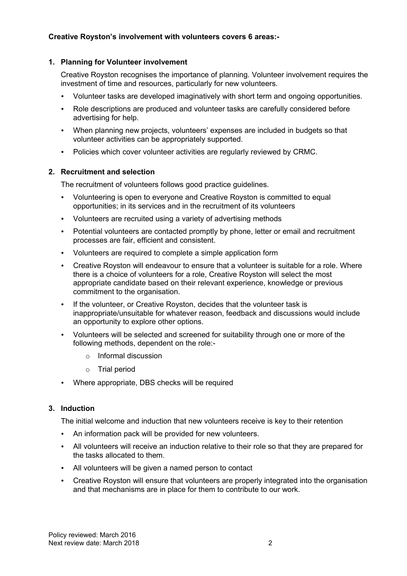# **1. Planning for Volunteer involvement**

Creative Royston recognises the importance of planning. Volunteer involvement requires the investment of time and resources, particularly for new volunteers.

- Volunteer tasks are developed imaginatively with short term and ongoing opportunities.
- Role descriptions are produced and volunteer tasks are carefully considered before advertising for help.
- When planning new projects, volunteers' expenses are included in budgets so that volunteer activities can be appropriately supported.
- Policies which cover volunteer activities are regularly reviewed by CRMC.

# **2. Recruitment and selection**

The recruitment of volunteers follows good practice guidelines.

- Volunteering is open to everyone and Creative Royston is committed to equal opportunities; in its services and in the recruitment of its volunteers
- Volunteers are recruited using a variety of advertising methods
- Potential volunteers are contacted promptly by phone, letter or email and recruitment processes are fair, efficient and consistent.
- Volunteers are required to complete a simple application form
- Creative Royston will endeavour to ensure that a volunteer is suitable for a role. Where there is a choice of volunteers for a role, Creative Royston will select the most appropriate candidate based on their relevant experience, knowledge or previous commitment to the organisation.
- If the volunteer, or Creative Royston, decides that the volunteer task is inappropriate/unsuitable for whatever reason, feedback and discussions would include an opportunity to explore other options.
- Volunteers will be selected and screened for suitability through one or more of the following methods, dependent on the role:
	- o Informal discussion
	- o Trial period
- Where appropriate, DBS checks will be required

# **3. Induction**

The initial welcome and induction that new volunteers receive is key to their retention

- An information pack will be provided for new volunteers.
- All volunteers will receive an induction relative to their role so that they are prepared for the tasks allocated to them.
- All volunteers will be given a named person to contact
- Creative Royston will ensure that volunteers are properly integrated into the organisation and that mechanisms are in place for them to contribute to our work.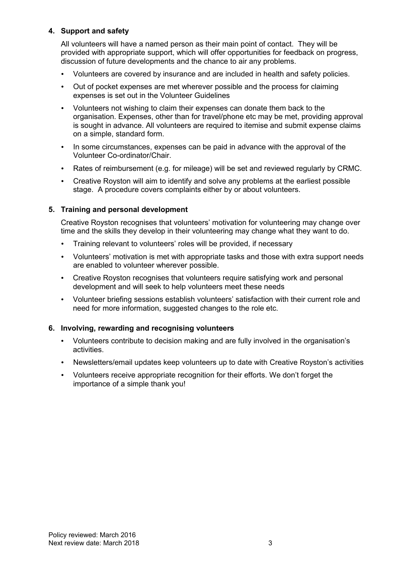# **4. Support and safety**

All volunteers will have a named person as their main point of contact. They will be provided with appropriate support, which will offer opportunities for feedback on progress, discussion of future developments and the chance to air any problems.

- Volunteers are covered by insurance and are included in health and safety policies.
- Out of pocket expenses are met wherever possible and the process for claiming expenses is set out in the Volunteer Guidelines
- Volunteers not wishing to claim their expenses can donate them back to the organisation. Expenses, other than for travel/phone etc may be met, providing approval is sought in advance. All volunteers are required to itemise and submit expense claims on a simple, standard form.
- In some circumstances, expenses can be paid in advance with the approval of the Volunteer Co-ordinator/Chair.
- Rates of reimbursement (e.g. for mileage) will be set and reviewed regularly by CRMC.
- Creative Royston will aim to identify and solve any problems at the earliest possible stage. A procedure covers complaints either by or about volunteers.

# **5. Training and personal development**

Creative Royston recognises that volunteers' motivation for volunteering may change over time and the skills they develop in their volunteering may change what they want to do.

- Training relevant to volunteers' roles will be provided, if necessary
- Volunteers' motivation is met with appropriate tasks and those with extra support needs are enabled to volunteer wherever possible.
- Creative Royston recognises that volunteers require satisfying work and personal development and will seek to help volunteers meet these needs
- Volunteer briefing sessions establish volunteers' satisfaction with their current role and need for more information, suggested changes to the role etc.

#### **6. Involving, rewarding and recognising volunteers**

- Volunteers contribute to decision making and are fully involved in the organisation's activities.
- Newsletters/email updates keep volunteers up to date with Creative Royston's activities
- Volunteers receive appropriate recognition for their efforts. We don't forget the importance of a simple thank you!